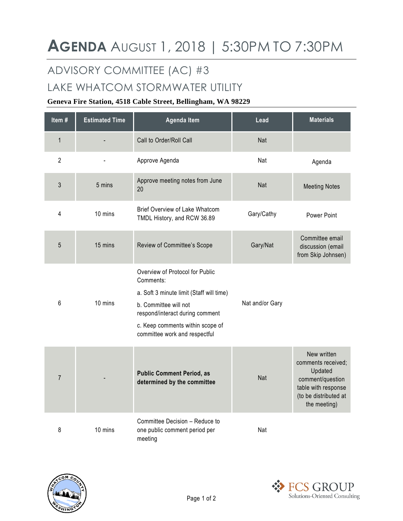## ADVISORY COMMITTEE (AC) #3

## LAKE WHATCOM STORMWATER UTILITY

## **Geneva Fire Station, 4518 Cable Street, Bellingham, WA 98229**

| Item#           | <b>Estimated Time</b> | <b>Agenda Item</b>                                                                                                                                                                                                        | Lead            | <b>Materials</b>                                                                                                                 |
|-----------------|-----------------------|---------------------------------------------------------------------------------------------------------------------------------------------------------------------------------------------------------------------------|-----------------|----------------------------------------------------------------------------------------------------------------------------------|
| $\mathbf{1}$    |                       | Call to Order/Roll Call                                                                                                                                                                                                   | Nat             |                                                                                                                                  |
| $\overline{2}$  |                       | Approve Agenda                                                                                                                                                                                                            | Nat             | Agenda                                                                                                                           |
| 3               | 5 mins                | Approve meeting notes from June<br>20                                                                                                                                                                                     | Nat             | <b>Meeting Notes</b>                                                                                                             |
| 4               | 10 mins               | Brief Overview of Lake Whatcom<br>TMDL History, and RCW 36.89                                                                                                                                                             | Gary/Cathy      | Power Point                                                                                                                      |
| 5               | 15 mins               | Review of Committee's Scope                                                                                                                                                                                               | Gary/Nat        | Committee email<br>discussion (email<br>from Skip Johnsen)                                                                       |
| $6\phantom{1}6$ | 10 mins               | Overview of Protocol for Public<br>Comments:<br>a. Soft 3 minute limit (Staff will time)<br>b. Committee will not<br>respond/interact during comment<br>c. Keep comments within scope of<br>committee work and respectful | Nat and/or Gary |                                                                                                                                  |
| $\overline{7}$  |                       | <b>Public Comment Period, as</b><br>determined by the committee                                                                                                                                                           | Nat             | New written<br>comments received;<br>Updated<br>comment/question<br>table with response<br>(to be distributed at<br>the meeting) |
| 8               | 10 mins               | Committee Decision - Reduce to<br>one public comment period per<br>meeting                                                                                                                                                | Nat             |                                                                                                                                  |